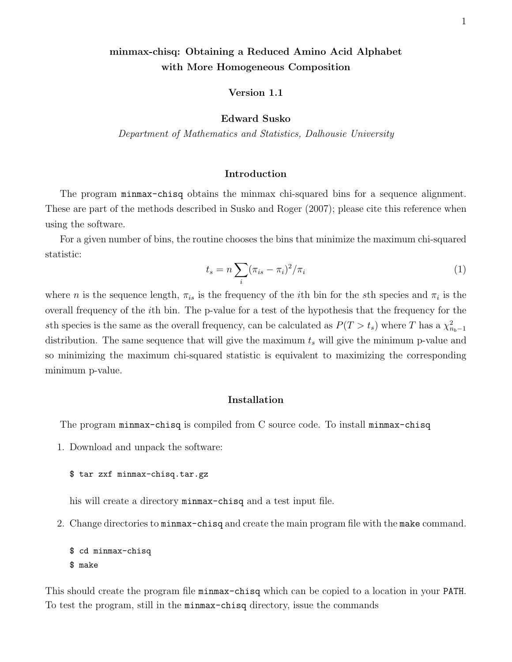# minmax-chisq: Obtaining a Reduced Amino Acid Alphabet with More Homogeneous Composition

# Version 1.1

## Edward Susko

Department of Mathematics and Statistics, Dalhousie University

# Introduction

The program minmax-chisq obtains the minmax chi-squared bins for a sequence alignment. These are part of the methods described in Susko and Roger (2007); please cite this reference when using the software.

For a given number of bins, the routine chooses the bins that minimize the maximum chi-squared statistic:

$$
t_s = n \sum_i (\pi_{is} - \pi_i)^2 / \pi_i \tag{1}
$$

where *n* is the sequence length,  $\pi_{is}$  is the frequency of the *i*th bin for the *s*th species and  $\pi_i$  is the overall frequency of the ith bin. The p-value for a test of the hypothesis that the frequency for the sth species is the same as the overall frequency, can be calculated as  $P(T > t_s)$  where T has a  $\chi^2_{n_b-1}$ distribution. The same sequence that will give the maximum  $t_s$  will give the minimum p-value and so minimizing the maximum chi-squared statistic is equivalent to maximizing the corresponding minimum p-value.

## Installation

The program minmax-chisq is compiled from C source code. To install minmax-chisq

1. Download and unpack the software:

### \$ tar zxf minmax-chisq.tar.gz

his will create a directory minmax-chisq and a test input file.

2. Change directories to minmax-chisq and create the main program file with the make command.

```
$ cd minmax-chisq
$ make
```
This should create the program file minmax-chisq which can be copied to a location in your PATH. To test the program, still in the minmax-chisq directory, issue the commands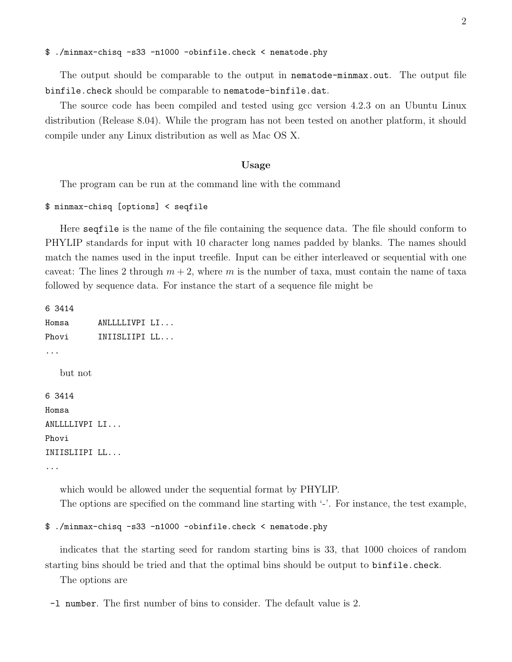#### \$ ./minmax-chisq -s33 -n1000 -obinfile.check < nematode.phy

The output should be comparable to the output in nematode-minmax.out. The output file binfile.check should be comparable to nematode-binfile.dat.

The source code has been compiled and tested using gcc version 4.2.3 on an Ubuntu Linux distribution (Release 8.04). While the program has not been tested on another platform, it should compile under any Linux distribution as well as Mac OS X.

### Usage

The program can be run at the command line with the command

### \$ minmax-chisq [options] < seqfile

Here seqfile is the name of the file containing the sequence data. The file should conform to PHYLIP standards for input with 10 character long names padded by blanks. The names should match the names used in the input treefile. Input can be either interleaved or sequential with one caveat: The lines 2 through  $m + 2$ , where m is the number of taxa, must contain the name of taxa followed by sequence data. For instance the start of a sequence file might be

6 3414 Homsa ANLLLLIVPI LI... Phovi **INIISLIIPI LL...** ... but not 6 3414 Homsa ANLLLLIVPI LI... Phovi INIISLIIPI LL... ...

> which would be allowed under the sequential format by PHYLIP. The options are specified on the command line starting with '-'. For instance, the test example,

```
$ ./minmax-chisq -s33 -n1000 -obinfile.check < nematode.phy
```
indicates that the starting seed for random starting bins is 33, that 1000 choices of random starting bins should be tried and that the optimal bins should be output to binfile.check.

The options are

<sup>-</sup>l number. The first number of bins to consider. The default value is 2.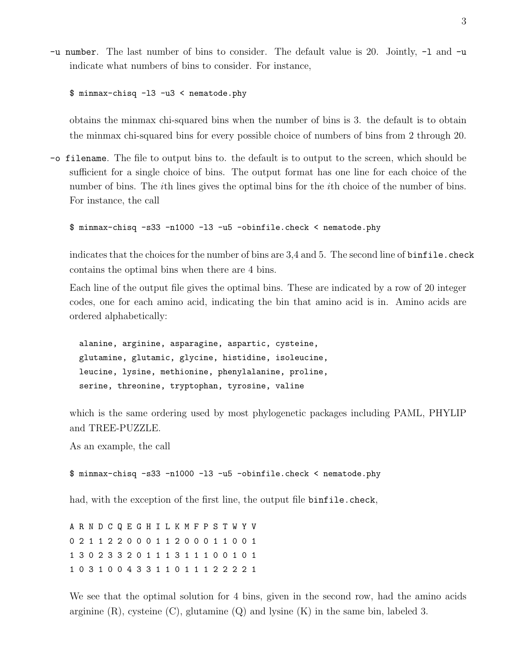-u number. The last number of bins to consider. The default value is 20. Jointly, -l and -u indicate what numbers of bins to consider. For instance,

\$ minmax-chisq -l3 -u3 < nematode.phy

obtains the minmax chi-squared bins when the number of bins is 3. the default is to obtain the minmax chi-squared bins for every possible choice of numbers of bins from 2 through 20.

-o filename. The file to output bins to. the default is to output to the screen, which should be sufficient for a single choice of bins. The output format has one line for each choice of the number of bins. The *i*th lines gives the optimal bins for the *i*th choice of the number of bins. For instance, the call

\$ minmax-chisq -s33 -n1000 -l3 -u5 -obinfile.check < nematode.phy

indicates that the choices for the number of bins are 3,4 and 5. The second line of binfile.check contains the optimal bins when there are 4 bins.

Each line of the output file gives the optimal bins. These are indicated by a row of 20 integer codes, one for each amino acid, indicating the bin that amino acid is in. Amino acids are ordered alphabetically:

alanine, arginine, asparagine, aspartic, cysteine, glutamine, glutamic, glycine, histidine, isoleucine, leucine, lysine, methionine, phenylalanine, proline, serine, threonine, tryptophan, tyrosine, valine

which is the same ordering used by most phylogenetic packages including PAML, PHYLIP and TREE-PUZZLE.

As an example, the call

```
$ minmax-chisq -s33 -n1000 -l3 -u5 -obinfile.check < nematode.phy
```
had, with the exception of the first line, the output file binfile.check,

A R N D C Q E G H I L K M F P S T W Y V 0 2 1 1 2 2 0 0 0 1 1 2 0 0 0 1 1 0 0 1 1 3 0 2 3 3 2 0 1 1 1 3 1 1 1 0 0 1 0 1 1 0 3 1 0 0 4 3 3 1 1 0 1 1 1 2 2 2 2 1

We see that the optimal solution for 4 bins, given in the second row, had the amino acids arginine  $(R)$ , cysteine  $(C)$ , glutamine  $(Q)$  and lysine  $(K)$  in the same bin, labeled 3.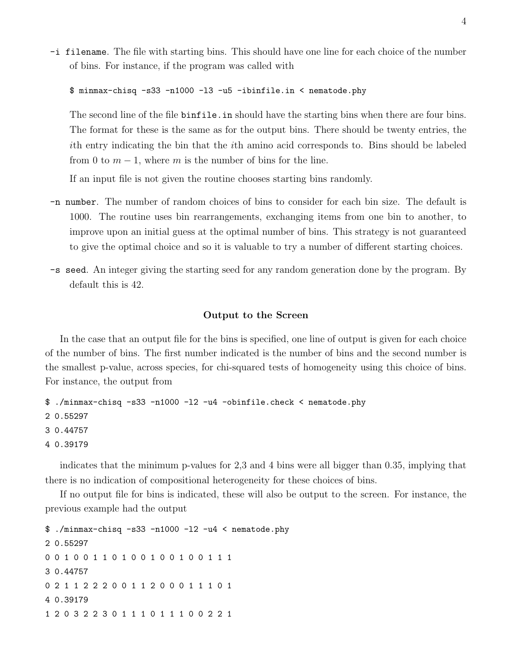-i filename. The file with starting bins. This should have one line for each choice of the number of bins. For instance, if the program was called with

\$ minmax-chisq -s33 -n1000 -l3 -u5 -ibinfile.in < nematode.phy

The second line of the file binfile.in should have the starting bins when there are four bins. The format for these is the same as for the output bins. There should be twenty entries, the ith entry indicating the bin that the ith amino acid corresponds to. Bins should be labeled from 0 to  $m-1$ , where m is the number of bins for the line.

If an input file is not given the routine chooses starting bins randomly.

- -n number. The number of random choices of bins to consider for each bin size. The default is 1000. The routine uses bin rearrangements, exchanging items from one bin to another, to improve upon an initial guess at the optimal number of bins. This strategy is not guaranteed to give the optimal choice and so it is valuable to try a number of different starting choices.
- -s seed. An integer giving the starting seed for any random generation done by the program. By default this is 42.

## Output to the Screen

In the case that an output file for the bins is specified, one line of output is given for each choice of the number of bins. The first number indicated is the number of bins and the second number is the smallest p-value, across species, for chi-squared tests of homogeneity using this choice of bins. For instance, the output from

```
$ ./minmax-chisq -s33 -n1000 -l2 -u4 -obinfile.check < nematode.phy
2 0.55297
3 0.44757
4 0.39179
```
indicates that the minimum p-values for 2,3 and 4 bins were all bigger than 0.35, implying that there is no indication of compositional heterogeneity for these choices of bins.

If no output file for bins is indicated, these will also be output to the screen. For instance, the previous example had the output

\$ ./minmax-chisq -s33 -n1000 -l2 -u4 < nematode.phy 2 0.55297 0 0 1 0 0 1 1 0 1 0 0 1 0 0 1 0 0 1 1 1 3 0.44757 0 2 1 1 2 2 2 0 0 1 1 2 0 0 0 1 1 1 0 1 4 0.39179 1 2 0 3 2 2 3 0 1 1 1 0 1 1 1 0 0 2 2 1